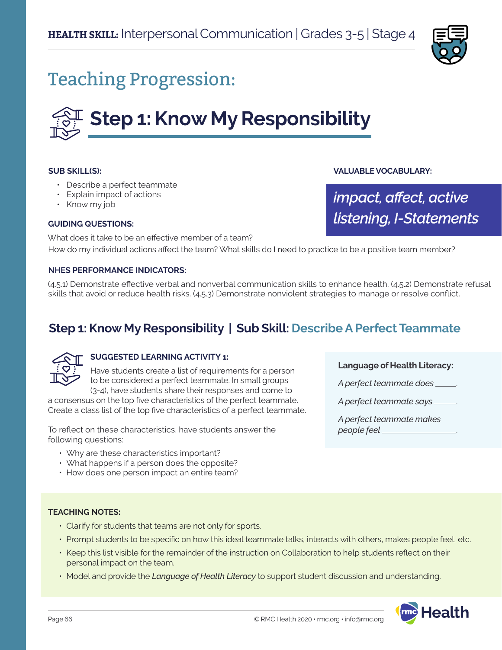

## Teaching Progression:

# **Step 1: Know My Responsibility**

#### **SUB SKILL(S):**

- Describe a perfect teammate
- Explain impact of actions
- Know my job

#### **GUIDING QUESTIONS:**

**VALUABLE VOCABULARY:**

*impact, affect, active listening, I-Statements*

What does it take to be an effective member of a team? How do my individual actions affect the team? What skills do I need to practice to be a positive team member?

#### **NHES PERFORMANCE INDICATORS:**

(4.5.1) Demonstrate effective verbal and nonverbal communication skills to enhance health. (4.5.2) Demonstrate refusal skills that avoid or reduce health risks. (4.5.3) Demonstrate nonviolent strategies to manage or resolve conflict.

## **Step 1: Know My Responsibility | Sub Skill: Describe A Perfect Teammate**



#### **SUGGESTED LEARNING ACTIVITY 1:**

Have students create a list of requirements for a person to be considered a perfect teammate. In small groups (3-4), have students share their responses and come to

a consensus on the top five characteristics of the perfect teammate. Create a class list of the top five characteristics of a perfect teammate.

To reflect on these characteristics, have students answer the following questions:

- Why are these characteristics important?
- What happens if a person does the opposite?
- How does one person impact an entire team?

#### **Language of Health Literacy:**

*A perfect teammate does* .

*A perfect teammate says* .

*A perfect teammate makes people feel* .

#### **TEACHING NOTES:**

- Clarify for students that teams are not only for sports.
- Prompt students to be specific on how this ideal teammate talks, interacts with others, makes people feel, etc.
- Keep this list visible for the remainder of the instruction on Collaboration to help students reflect on their personal impact on the team.
- Model and provide the *Language of Health Literacy* to support student discussion and understanding.

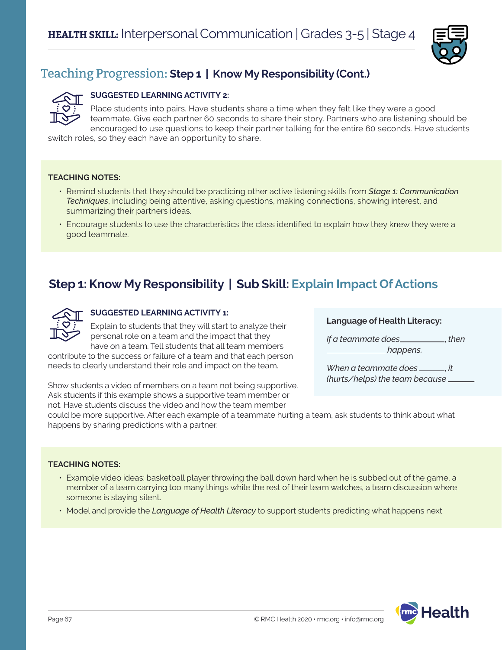

## Teaching Progression: **Step 1 | Know My Responsibility (Cont.)**

#### **SUGGESTED LEARNING ACTIVITY 2:**

Place students into pairs. Have students share a time when they felt like they were a good teammate. Give each partner 60 seconds to share their story. Partners who are listening should be encouraged to use questions to keep their partner talking for the entire 60 seconds. Have students

switch roles, so they each have an opportunity to share.

#### **TEACHING NOTES:**

- Remind students that they should be practicing other active listening skills from *Stage 1: Communication Techniques*, including being attentive, asking questions, making connections, showing interest, and summarizing their partners ideas.
- Encourage students to use the characteristics the class identified to explain how they knew they were a good teammate.

### **Step 1: Know My Responsibility | Sub Skill: Explain Impact Of Actions**



#### **SUGGESTED LEARNING ACTIVITY 1:**

Explain to students that they will start to analyze their personal role on a team and the impact that they have on a team. Tell students that all team members

contribute to the success or failure of a team and that each person needs to clearly understand their role and impact on the team.

Show students a video of members on a team not being supportive. Ask students if this example shows a supportive team member or not. Have students discuss the video and how the team member

**Language of Health Literacy:**

*If a teammate does*\_\_\_\_\_\_\_\_\_\_\_, then  *happens.* 

*When a teammate does* \_\_\_\_\_\_, *it (hurts/helps) the team because* .

could be more supportive. After each example of a teammate hurting a team, ask students to think about what happens by sharing predictions with a partner.

#### **TEACHING NOTES:**

- Example video ideas: basketball player throwing the ball down hard when he is subbed out of the game, a member of a team carrying too many things while the rest of their team watches, a team discussion where someone is staying silent.
- Model and provide the *Language of Health Literacy* to support students predicting what happens next.

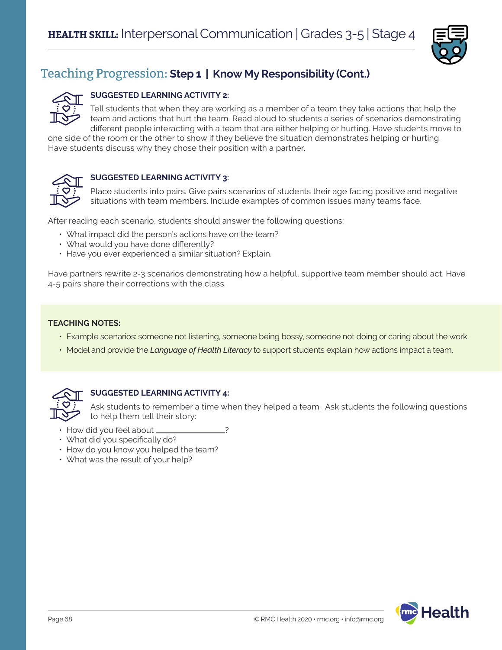

## Teaching Progression: **Step 1 | Know My Responsibility (Cont.)**

#### **SUGGESTED LEARNING ACTIVITY 2:**

Tell students that when they are working as a member of a team they take actions that help the team and actions that hurt the team. Read aloud to students a series of scenarios demonstrating different people interacting with a team that are either helping or hurting. Have students move to

one side of the room or the other to show if they believe the situation demonstrates helping or hurting. Have students discuss why they chose their position with a partner.



#### **SUGGESTED LEARNING ACTIVITY 3:**

Place students into pairs. Give pairs scenarios of students their age facing positive and negative situations with team members. Include examples of common issues many teams face.

After reading each scenario, students should answer the following questions:

- What impact did the person's actions have on the team?
- What would you have done differently?
- Have you ever experienced a similar situation? Explain.

Have partners rewrite 2-3 scenarios demonstrating how a helpful, supportive team member should act. Have 4-5 pairs share their corrections with the class.

#### **TEACHING NOTES:**

- Example scenarios: someone not listening, someone being bossy, someone not doing or caring about the work.
- Model and provide the *Language of Health Literacy* to support students explain how actions impact a team.



#### **SUGGESTED LEARNING ACTIVITY 4:**

Ask students to remember a time when they helped a team. Ask students the following questions to help them tell their story:

- $\cdot$  How did you feel about  $\overline{\phantom{a}}$
- What did you specifically do?
- How do you know you helped the team?
- What was the result of your help?